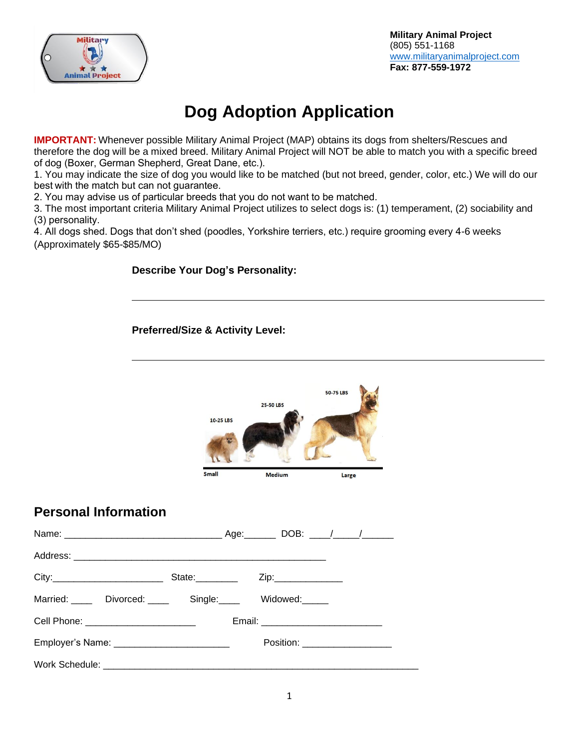

## **Dog Adoption Application**

**IMPORTANT:** Whenever possible Military Animal Project (MAP) obtains its dogs from shelters/Rescues and therefore the dog will be a mixed breed. Military Animal Project will NOT be able to match you with a specific breed of dog (Boxer, German Shepherd, Great Dane, etc.). 

1. You may indicate the size of dog you would like to be matched (but not breed, gender, color, etc.) We will do our best with the match but can not guarantee. 

2. You may advise us of particular breeds that you do not want to be matched. 

3. The most important criteria Military Animal Project utilizes to select dogs is: (1) temperament, (2) sociability and (3) personality. 

4. All dogs shed. Dogs that don't shed (poodles, Yorkshire terriers, etc.) require grooming every 4-6 weeks (Approximately \$65-\$85/MO)

## **Describe Your Dog's Personality:**

**Preferred/Size & Activity Level:** 

|                                                      | 10-25 LBS<br>Small | <b>25-50 LBS</b><br><b>Medium</b> | 50-75 LBS<br>Large             |
|------------------------------------------------------|--------------------|-----------------------------------|--------------------------------|
| <b>Personal Information</b>                          |                    |                                   |                                |
|                                                      |                    |                                   |                                |
|                                                      |                    |                                   |                                |
|                                                      |                    |                                   |                                |
| Married: _____ Divorced: _____ Single: ____ Widowed: |                    |                                   |                                |
| Cell Phone: ________________________                 |                    |                                   |                                |
|                                                      |                    |                                   |                                |
| Employer's Name: ______________________________      |                    |                                   | Position: ____________________ |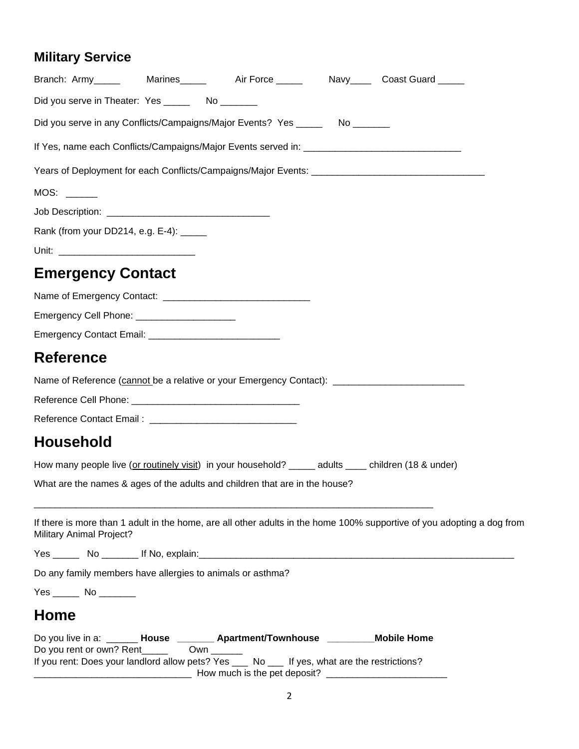## **Military Service**

| Branch: Army______   Marines______   Air Force ______   Navy_____ Coast Guard _____                                                                                                                                   |                                                                                               |                                                                                                                        |
|-----------------------------------------------------------------------------------------------------------------------------------------------------------------------------------------------------------------------|-----------------------------------------------------------------------------------------------|------------------------------------------------------------------------------------------------------------------------|
| Did you serve in Theater: Yes ________ No _______                                                                                                                                                                     |                                                                                               |                                                                                                                        |
| Did you serve in any Conflicts/Campaigns/Major Events? Yes _______ No _______                                                                                                                                         |                                                                                               |                                                                                                                        |
|                                                                                                                                                                                                                       |                                                                                               |                                                                                                                        |
|                                                                                                                                                                                                                       |                                                                                               |                                                                                                                        |
| MOS:                                                                                                                                                                                                                  |                                                                                               |                                                                                                                        |
|                                                                                                                                                                                                                       |                                                                                               |                                                                                                                        |
| Rank (from your DD214, e.g. E-4): _____                                                                                                                                                                               |                                                                                               |                                                                                                                        |
|                                                                                                                                                                                                                       |                                                                                               |                                                                                                                        |
| <b>Emergency Contact</b>                                                                                                                                                                                              |                                                                                               |                                                                                                                        |
|                                                                                                                                                                                                                       |                                                                                               |                                                                                                                        |
| Emergency Cell Phone: ________________________                                                                                                                                                                        |                                                                                               |                                                                                                                        |
|                                                                                                                                                                                                                       |                                                                                               |                                                                                                                        |
| Reference                                                                                                                                                                                                             |                                                                                               |                                                                                                                        |
| Name of Reference (cannot be a relative or your Emergency Contact): _______________________________                                                                                                                   |                                                                                               |                                                                                                                        |
|                                                                                                                                                                                                                       |                                                                                               |                                                                                                                        |
|                                                                                                                                                                                                                       |                                                                                               |                                                                                                                        |
| Household                                                                                                                                                                                                             |                                                                                               |                                                                                                                        |
| How many people live (or routinely visit) in your household? _____ adults ____ children (18 & under)                                                                                                                  |                                                                                               |                                                                                                                        |
| What are the names & ages of the adults and children that are in the house?                                                                                                                                           |                                                                                               |                                                                                                                        |
| <b>Military Animal Project?</b>                                                                                                                                                                                       |                                                                                               | If there is more than 1 adult in the home, are all other adults in the home 100% supportive of you adopting a dog from |
|                                                                                                                                                                                                                       |                                                                                               |                                                                                                                        |
| Do any family members have allergies to animals or asthma?                                                                                                                                                            |                                                                                               |                                                                                                                        |
| Yes ______ No ________                                                                                                                                                                                                |                                                                                               |                                                                                                                        |
| Home                                                                                                                                                                                                                  |                                                                                               |                                                                                                                        |
| Do you live in a: _______ House ________ Apartment/Townhouse __________ Mobile Home<br>Do you rent or own? Rent_____<br>If you rent: Does your landlord allow pets? Yes ___ No ___ If yes, what are the restrictions? | $Own \_\_$<br>_________________________ How much is the pet deposit? ________________________ |                                                                                                                        |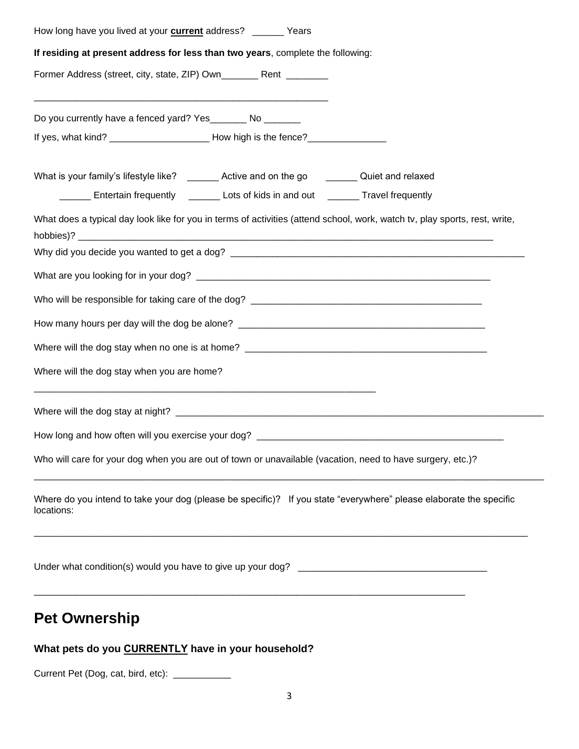| How long have you lived at your <b>current</b> address? _______ Years                                                            |  |
|----------------------------------------------------------------------------------------------------------------------------------|--|
| If residing at present address for less than two years, complete the following:                                                  |  |
| Former Address (street, city, state, ZIP) Own__________ Rent _________                                                           |  |
| Do you currently have a fenced yard? Yes_______ No _______                                                                       |  |
| If yes, what kind? _________________________ How high is the fence?______________                                                |  |
| What is your family's lifestyle like? _______ Active and on the go _______ Quiet and relaxed                                     |  |
| ______ Entertain frequently ______ Lots of kids in and out ______ Travel frequently                                              |  |
| What does a typical day look like for you in terms of activities (attend school, work, watch tv, play sports, rest, write,       |  |
|                                                                                                                                  |  |
|                                                                                                                                  |  |
|                                                                                                                                  |  |
|                                                                                                                                  |  |
|                                                                                                                                  |  |
| Where will the dog stay when you are home?                                                                                       |  |
|                                                                                                                                  |  |
|                                                                                                                                  |  |
| Who will care for your dog when you are out of town or unavailable (vacation, need to have surgery, etc.)?                       |  |
| Where do you intend to take your dog (please be specific)? If you state "everywhere" please elaborate the specific<br>locations: |  |
|                                                                                                                                  |  |
| <b>Pet Ownership</b>                                                                                                             |  |

## **What pets do you CURRENTLY have in your household?**

Current Pet (Dog, cat, bird, etc): \_\_\_\_\_\_\_\_\_\_\_